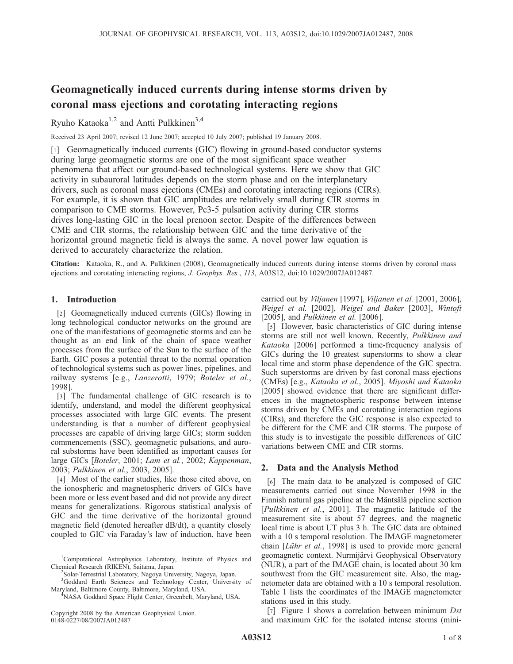# Geomagnetically induced currents during intense storms driven by coronal mass ejections and corotating interacting regions

Ryuho Kataoka<sup>1,2</sup> and Antti Pulkkinen<sup>3,4</sup>

Received 23 April 2007; revised 12 June 2007; accepted 10 July 2007; published 19 January 2008.

[1] Geomagnetically induced currents (GIC) flowing in ground-based conductor systems during large geomagnetic storms are one of the most significant space weather phenomena that affect our ground-based technological systems. Here we show that GIC activity in subauroral latitudes depends on the storm phase and on the interplanetary drivers, such as coronal mass ejections (CMEs) and corotating interacting regions (CIRs). For example, it is shown that GIC amplitudes are relatively small during CIR storms in comparison to CME storms. However, Pc3-5 pulsation activity during CIR storms drives long-lasting GIC in the local prenoon sector. Despite of the differences between CME and CIR storms, the relationship between GIC and the time derivative of the horizontal ground magnetic field is always the same. A novel power law equation is derived to accurately characterize the relation.

Citation: Kataoka, R., and A. Pulkkinen (2008), Geomagnetically induced currents during intense storms driven by coronal mass ejections and corotating interacting regions, J. Geophys. Res., 113, A03S12, doi:10.1029/2007JA012487.

## 1. Introduction

[2] Geomagnetically induced currents (GICs) flowing in long technological conductor networks on the ground are one of the manifestations of geomagnetic storms and can be thought as an end link of the chain of space weather processes from the surface of the Sun to the surface of the Earth. GIC poses a potential threat to the normal operation of technological systems such as power lines, pipelines, and railway systems [e.g., Lanzerotti, 1979; Boteler et al., 1998].

[3] The fundamental challenge of GIC research is to identify, understand, and model the different geophysical processes associated with large GIC events. The present understanding is that a number of different geophysical processes are capable of driving large GICs; storm sudden commencements (SSC), geomagnetic pulsations, and auroral substorms have been identified as important causes for large GICs [Boteler, 2001; Lam et al., 2002; Kappenman, 2003; Pulkkinen et al., 2003, 2005].

[4] Most of the earlier studies, like those cited above, on the ionospheric and magnetospheric drivers of GICs have been more or less event based and did not provide any direct means for generalizations. Rigorous statistical analysis of GIC and the time derivative of the horizontal ground magnetic field (denoted hereafter dB/dt), a quantity closely coupled to GIC via Faraday's law of induction, have been

carried out by Viljanen [1997], Viljanen et al. [2001, 2006], Weigel et al. [2002], Weigel and Baker [2003], Wintoft [2005], and *Pulkkinen et al.* [2006].

[5] However, basic characteristics of GIC during intense storms are still not well known. Recently, Pulkkinen and Kataoka [2006] performed a time-frequency analysis of GICs during the 10 greatest superstorms to show a clear local time and storm phase dependence of the GIC spectra. Such superstorms are driven by fast coronal mass ejections (CMEs) [e.g., Kataoka et al., 2005]. Miyoshi and Kataoka [2005] showed evidence that there are significant differences in the magnetospheric response between intense storms driven by CMEs and corotating interaction regions (CIRs), and therefore the GIC response is also expected to be different for the CME and CIR storms. The purpose of this study is to investigate the possible differences of GIC variations between CME and CIR storms.

## 2. Data and the Analysis Method

[6] The main data to be analyzed is composed of GIC measurements carried out since November 1998 in the Finnish natural gas pipeline at the Mäntsälä pipeline section [Pulkkinen et al., 2001]. The magnetic latitude of the measurement site is about 57 degrees, and the magnetic local time is about UT plus 3 h. The GIC data are obtained with a 10 s temporal resolution. The IMAGE magnetometer chain [*Lühr et al.*, 1998] is used to provide more general geomagnetic context. Nurmijärvi Geophysical Observatory (NUR), a part of the IMAGE chain, is located about 30 km southwest from the GIC measurement site. Also, the magnetometer data are obtained with a 10 s temporal resolution. Table 1 lists the coordinates of the IMAGE magnetometer stations used in this study.

[7] Figure 1 shows a correlation between minimum Dst and maximum GIC for the isolated intense storms (mini-

<sup>&</sup>lt;sup>1</sup>Computational Astrophysics Laboratory, Institute of Physics and Chemical Research (RIKEN), Saitama, Japan. <sup>2</sup>

<sup>&</sup>lt;sup>2</sup>Solar-Terrestrial Laboratory, Nagoya University, Nagoya, Japan.

<sup>&</sup>lt;sup>3</sup>Goddard Earth Sciences and Technology Center, University of Maryland, Baltimore County, Baltimore, Maryland, USA. <sup>4</sup> NASA Goddard Space Flight Center, Greenbelt, Maryland, USA.

Copyright 2008 by the American Geophysical Union. 0148-0227/08/2007JA012487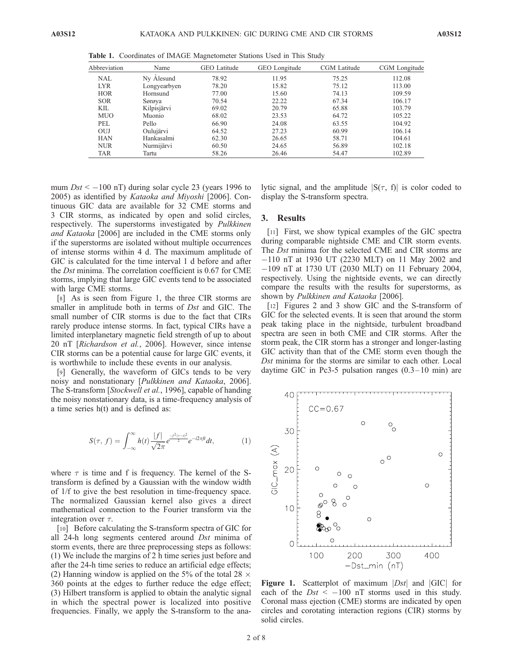| Abbreviation | Name         | <b>GEO</b> Latitude | GEO Longitude | CGM Latitude | CGM Longitude |
|--------------|--------------|---------------------|---------------|--------------|---------------|
| <b>NAL</b>   | Ny Ålesund   | 78.92               | 11.95         | 75.25        | 112.08        |
| <b>LYR</b>   | Longyearbyen | 78.20               | 15.82         | 75.12        | 113.00        |
| <b>HOR</b>   | Hornsund     | 77.00               | 15.60         | 74.13        | 109.59        |
| <b>SOR</b>   | Sørøya       | 70.54               | 22.22         | 67.34        | 106.17        |
| KIL          | Kilpisjärvi  | 69.02               | 20.79         | 65.88        | 103.79        |
| <b>MUO</b>   | Muonio       | 68.02               | 23.53         | 64.72        | 105.22        |
| PEL          | Pello        | 66.90               | 24.08         | 63.55        | 104.92        |
| OUJ          | Oulujärvi    | 64.52               | 27.23         | 60.99        | 106.14        |
| <b>HAN</b>   | Hankasalmi   | 62.30               | 26.65         | 58.71        | 104.61        |
| <b>NUR</b>   | Nurmijärvi   | 60.50               | 24.65         | 56.89        | 102.18        |
| <b>TAR</b>   | Tartu        | 58.26               | 26.46         | 54.47        | 102.89        |
|              |              |                     |               |              |               |

Table 1. Coordinates of IMAGE Magnetometer Stations Used in This Study

mum  $Dst < -100$  nT) during solar cycle 23 (years 1996 to 2005) as identified by Kataoka and Miyoshi [2006]. Continuous GIC data are available for 32 CME storms and 3 CIR storms, as indicated by open and solid circles, respectively. The superstorms investigated by Pulkkinen and Kataoka [2006] are included in the CME storms only if the superstorms are isolated without multiple occurrences of intense storms within 4 d. The maximum amplitude of GIC is calculated for the time interval 1 d before and after the Dst minima. The correlation coefficient is 0.67 for CME storms, implying that large GIC events tend to be associated with large CME storms.

[8] As is seen from Figure 1, the three CIR storms are smaller in amplitude both in terms of *Dst* and GIC. The small number of CIR storms is due to the fact that CIRs rarely produce intense storms. In fact, typical CIRs have a limited interplanetary magnetic field strength of up to about 20 nT [Richardson et al., 2006]. However, since intense CIR storms can be a potential cause for large GIC events, it is worthwhile to include these events in our analysis.

[9] Generally, the waveform of GICs tends to be very noisy and nonstationary [Pulkkinen and Kataoka, 2006]. The S-transform [Stockwell et al., 1996], capable of handing the noisy nonstationary data, is a time-frequency analysis of a time series h(t) and is defined as:

$$
S(\tau, f) = \int_{-\infty}^{\infty} h(t) \frac{|f|}{\sqrt{2\pi}} e^{\frac{-f^2(\tau - t)^2}{2}} e^{-i2\pi ft} dt, \tag{1}
$$

where  $\tau$  is time and f is frequency. The kernel of the Stransform is defined by a Gaussian with the window width of 1/f to give the best resolution in time-frequency space. The normalized Gaussian kernel also gives a direct mathematical connection to the Fourier transform via the integration over  $\tau$ .

[10] Before calculating the S-transform spectra of GIC for all 24-h long segments centered around Dst minima of storm events, there are three preprocessing steps as follows: (1) We include the margins of 2 h time series just before and after the 24-h time series to reduce an artificial edge effects; (2) Hanning window is applied on the 5% of the total 28  $\times$ 360 points at the edges to further reduce the edge effect; (3) Hilbert transform is applied to obtain the analytic signal in which the spectral power is localized into positive frequencies. Finally, we apply the S-transform to the analytic signal, and the amplitude  $|S(\tau, f)|$  is color coded to display the S-transform spectra.

#### 3. Results

[11] First, we show typical examples of the GIC spectra during comparable nightside CME and CIR storm events. The Dst minima for the selected CME and CIR storms are 110 nT at 1930 UT (2230 MLT) on 11 May 2002 and 109 nT at 1730 UT (2030 MLT) on 11 February 2004, respectively. Using the nightside events, we can directly compare the results with the results for superstorms, as shown by Pulkkinen and Kataoka [2006].

[12] Figures 2 and 3 show GIC and the S-transform of GIC for the selected events. It is seen that around the storm peak taking place in the nightside, turbulent broadband spectra are seen in both CME and CIR storms. After the storm peak, the CIR storm has a stronger and longer-lasting GIC activity than that of the CME storm even though the Dst minima for the storms are similar to each other. Local daytime GIC in Pc3-5 pulsation ranges  $(0.3-10 \text{ min})$  are



**Figure 1.** Scatterplot of maximum  $|Dst|$  and  $|GIC|$  for each of the  $Dst < -100$  nT storms used in this study. Coronal mass ejection (CME) storms are indicated by open circles and corotating interaction regions (CIR) storms by solid circles.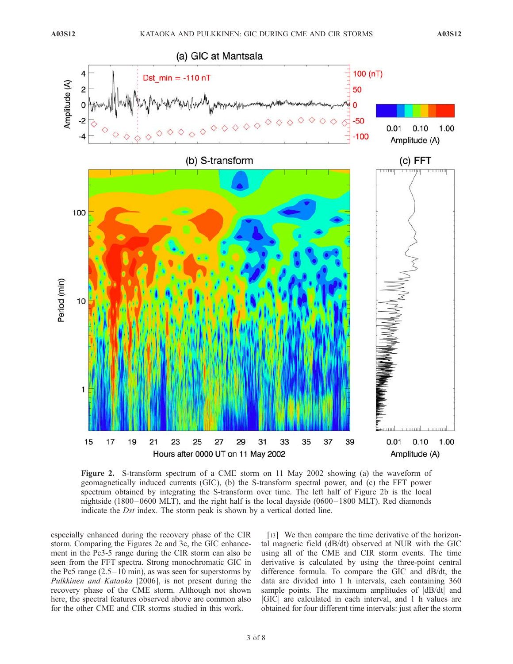

Figure 2. S-transform spectrum of a CME storm on 11 May 2002 showing (a) the waveform of geomagnetically induced currents (GIC), (b) the S-transform spectral power, and (c) the FFT power spectrum obtained by integrating the S-transform over time. The left half of Figure 2b is the local nightside (1800 $-0600$  MLT), and the right half is the local dayside (0600 $-1800$  MLT). Red diamonds indicate the Dst index. The storm peak is shown by a vertical dotted line.

especially enhanced during the recovery phase of the CIR storm. Comparing the Figures 2c and 3c, the GIC enhancement in the Pc3-5 range during the CIR storm can also be seen from the FFT spectra. Strong monochromatic GIC in the Pc5 range  $(2.5 - 10 \text{ min})$ , as was seen for superstorms by Pulkkinen and Kataoka [2006], is not present during the recovery phase of the CME storm. Although not shown here, the spectral features observed above are common also for the other CME and CIR storms studied in this work.

[13] We then compare the time derivative of the horizontal magnetic field (dB/dt) observed at NUR with the GIC using all of the CME and CIR storm events. The time derivative is calculated by using the three-point central difference formula. To compare the GIC and dB/dt, the data are divided into 1 h intervals, each containing 360 sample points. The maximum amplitudes of  $|dB/dt|$  and jGICj are calculated in each interval, and 1 h values are obtained for four different time intervals: just after the storm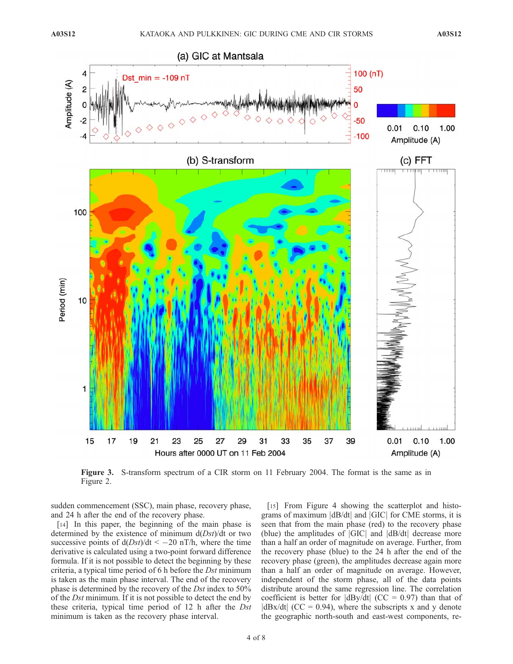

Figure 3. S-transform spectrum of a CIR storm on 11 February 2004. The format is the same as in Figure 2.

sudden commencement (SSC), main phase, recovery phase, and 24 h after the end of the recovery phase.

[14] In this paper, the beginning of the main phase is determined by the existence of minimum  $d(Dst)/dt$  or two successive points of  $d(Dst)/dt < -20$  nT/h, where the time derivative is calculated using a two-point forward difference formula. If it is not possible to detect the beginning by these criteria, a typical time period of 6 h before the Dst minimum is taken as the main phase interval. The end of the recovery phase is determined by the recovery of the Dst index to 50% of the Dst minimum. If it is not possible to detect the end by these criteria, typical time period of 12 h after the Dst minimum is taken as the recovery phase interval.

[15] From Figure 4 showing the scatterplot and histograms of maximum  $|dB/dt|$  and  $|GIC|$  for CME storms, it is seen that from the main phase (red) to the recovery phase (blue) the amplitudes of  $|GIC|$  and  $|dB/dt|$  decrease more than a half an order of magnitude on average. Further, from the recovery phase (blue) to the 24 h after the end of the recovery phase (green), the amplitudes decrease again more than a half an order of magnitude on average. However, independent of the storm phase, all of the data points distribute around the same regression line. The correlation coefficient is better for  $|dBy/dt|$  (CC = 0.97) than that of  $|dBx/dt|$  (CC = 0.94), where the subscripts x and y denote the geographic north-south and east-west components, re-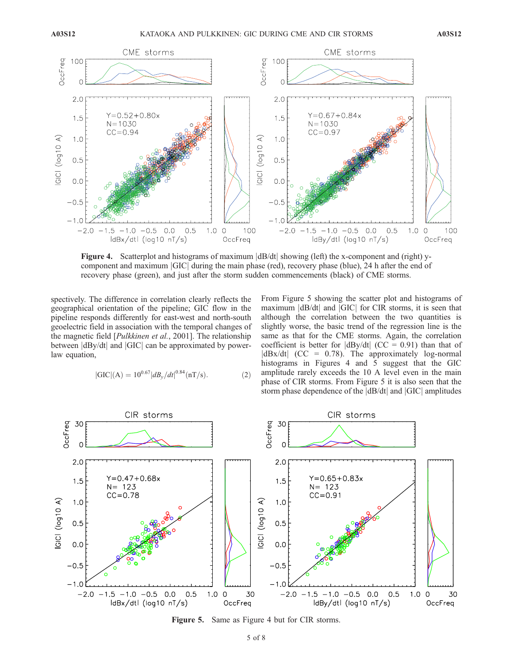

**Figure 4.** Scatterplot and histograms of maximum  $\frac{dB}{dt}$  showing (left) the x-component and (right) ycomponent and maximum *GIC* during the main phase (red), recovery phase (blue), 24 h after the end of recovery phase (green), and just after the storm sudden commencements (black) of CME storms.

spectively. The difference in correlation clearly reflects the geographical orientation of the pipeline; GIC flow in the pipeline responds differently for east-west and north-south geoelectric field in association with the temporal changes of the magnetic field [Pulkkinen et al., 2001]. The relationship between  $|dBy/dt|$  and  $|GIC|$  can be approximated by powerlaw equation,

$$
|GIC|(A) = 10^{0.67} |dB_y/dt|^{0.84} (nT/s).
$$
 (2)

From Figure 5 showing the scatter plot and histograms of maximum  $|dB/dt|$  and  $|GIC|$  for CIR storms, it is seen that although the correlation between the two quantities is slightly worse, the basic trend of the regression line is the same as that for the CME storms. Again, the correlation coefficient is better for  $|dBy/dt|$  (CC = 0.91) than that of  $|dBx/dt|$  (CC = 0.78). The approximately log-normal histograms in Figures 4 and 5 suggest that the GIC amplitude rarely exceeds the 10 A level even in the main phase of CIR storms. From Figure 5 it is also seen that the storm phase dependence of the  $|dB/dt|$  and  $|GIC|$  amplitudes



Figure 5. Same as Figure 4 but for CIR storms.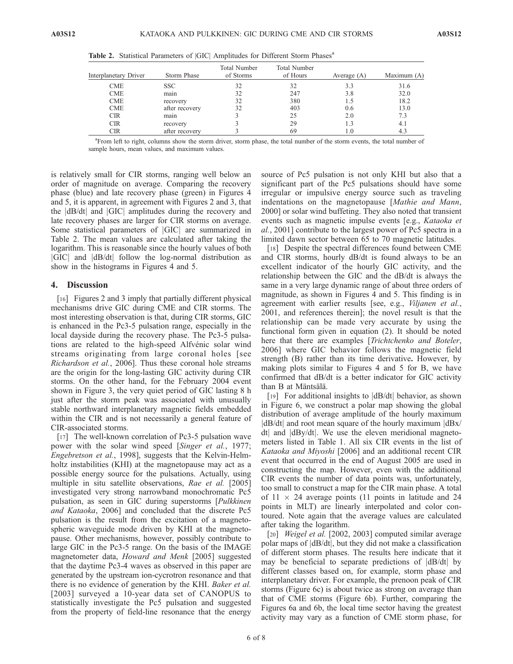| Interplanetary Driver | Storm Phase    | <b>Total Number</b><br>of Storms | <b>Total Number</b><br>of Hours | Average $(A)$ | Maximum (A) |
|-----------------------|----------------|----------------------------------|---------------------------------|---------------|-------------|
| <b>CME</b>            | SSC.           | 32                               | 32                              | 3.3           | 31.6        |
| <b>CME</b>            | main           | 32                               | 247                             | 3.8           | 32.0        |
| <b>CME</b>            | recovery       | 32                               | 380                             | 1.5           | 18.2        |
| <b>CME</b>            | after recovery | 32                               | 403                             | 0.6           | 13.0        |
| <b>CIR</b>            | main           |                                  | 25                              | 2.0           | 7.3         |
| <b>CIR</b>            | recovery       |                                  | 29                              | 1.3           | 4.1         |
| <b>CIR</b>            | after recovery |                                  | 69                              | 1.0           | 4.3         |

Table 2. Statistical Parameters of |GIC| Amplitudes for Different Storm Phases<sup>a</sup>

a From left to right, columns show the storm driver, storm phase, the total number of the storm events, the total number of sample hours, mean values, and maximum values.

is relatively small for CIR storms, ranging well below an order of magnitude on average. Comparing the recovery phase (blue) and late recovery phase (green) in Figures 4 and 5, it is apparent, in agreement with Figures 2 and 3, that the |dB/dt| and |GIC| amplitudes during the recovery and late recovery phases are larger for CIR storms on average. Some statistical parameters of GIC are summarized in Table 2. The mean values are calculated after taking the logarithm. This is reasonable since the hourly values of both jGICj and jdB/dtj follow the log-normal distribution as show in the histograms in Figures 4 and 5.

### 4. Discussion

[16] Figures 2 and 3 imply that partially different physical mechanisms drive GIC during CME and CIR storms. The most interesting observation is that, during CIR storms, GIC is enhanced in the Pc3-5 pulsation range, especially in the local dayside during the recovery phase. The Pc3-5 pulsations are related to the high-speed Alfvénic solar wind streams originating from large coronal holes [see Richardson et al., 2006]. Thus these coronal hole streams are the origin for the long-lasting GIC activity during CIR storms. On the other hand, for the February 2004 event shown in Figure 3, the very quiet period of GIC lasting 8 h just after the storm peak was associated with unusually stable northward interplanetary magnetic fields embedded within the CIR and is not necessarily a general feature of CIR-associated storms.

[17] The well-known correlation of Pc3-5 pulsation wave power with the solar wind speed [Singer et al., 1977; Engebretson et al., 1998], suggests that the Kelvin-Helmholtz instabilities (KHI) at the magnetopause may act as a possible energy source for the pulsations. Actually, using multiple in situ satellite observations, Rae et al. [2005] investigated very strong narrowband monochromatic Pc5 pulsation, as seen in GIC during superstorms [Pulkkinen and Kataoka, 2006] and concluded that the discrete Pc5 pulsation is the result from the excitation of a magnetospheric waveguide mode driven by KHI at the magnetopause. Other mechanisms, however, possibly contribute to large GIC in the Pc3-5 range. On the basis of the IMAGE magnetometer data, Howard and Menk [2005] suggested that the daytime Pc3-4 waves as observed in this paper are generated by the upstream ion-cycrotron resonance and that there is no evidence of generation by the KHI. Baker et al. [2003] surveyed a 10-year data set of CANOPUS to statistically investigate the Pc5 pulsation and suggested from the property of field-line resonance that the energy source of Pc5 pulsation is not only KHI but also that a significant part of the Pc5 pulsations should have some irregular or impulsive energy source such as traveling indentations on the magnetopause [Mathie and Mann, 2000] or solar wind buffeting. They also noted that transient events such as magnetic impulse events [e.g., Kataoka et al., 2001] contribute to the largest power of Pc5 spectra in a limited dawn sector between 65 to 70 magnetic latitudes.

[18] Despite the spectral differences found between CME and CIR storms, hourly dB/dt is found always to be an excellent indicator of the hourly GIC activity, and the relationship between the GIC and the dB/dt is always the same in a very large dynamic range of about three orders of magnitude, as shown in Figures 4 and 5. This finding is in agreement with earlier results [see, e.g., Viljanen et al., 2001, and references therein]; the novel result is that the relationship can be made very accurate by using the functional form given in equation (2). It should be noted here that there are examples [Trichtchenko and Boteler, 2006] where GIC behavior follows the magnetic field strength (B) rather than its time derivative. However, by making plots similar to Figures 4 and 5 for B, we have confirmed that dB/dt is a better indicator for GIC activity than B at Mäntsälä.

[19] For additional insights to  $|dB/dt|$  behavior, as shown in Figure 6, we construct a polar map showing the global distribution of average amplitude of the hourly maximum  $|dB/dt|$  and root mean square of the hourly maximum  $|dBx|$ dtj and jdBy/dtj. We use the eleven meridional magnetometers listed in Table 1. All six CIR events in the list of Kataoka and Miyoshi [2006] and an additional recent CIR event that occurred in the end of August 2005 are used in constructing the map. However, even with the additional CIR events the number of data points was, unfortunately, too small to construct a map for the CIR main phase. A total of  $11 \times 24$  average points (11 points in latitude and 24 points in MLT) are linearly interpolated and color contoured. Note again that the average values are calculated after taking the logarithm.

[20] Weigel et al. [2002, 2003] computed similar average polar maps of jdB/dtj, but they did not make a classification of different storm phases. The results here indicate that it may be beneficial to separate predictions of  $|dB/dt|$  by different classes based on, for example, storm phase and interplanetary driver. For example, the prenoon peak of CIR storms (Figure 6c) is about twice as strong on average than that of CME storms (Figure 6b). Further, comparing the Figures 6a and 6b, the local time sector having the greatest activity may vary as a function of CME storm phase, for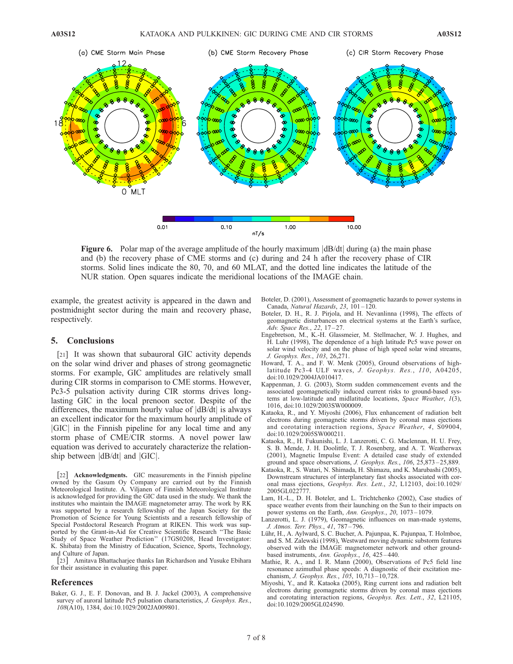

**Figure 6.** Polar map of the average amplitude of the hourly maximum  $\left| \frac{d}{dt} \right|$  during (a) the main phase and (b) the recovery phase of CME storms and (c) during and 24 h after the recovery phase of CIR storms. Solid lines indicate the 80, 70, and 60 MLAT, and the dotted line indicates the latitude of the NUR station. Open squares indicate the meridional locations of the IMAGE chain.

example, the greatest activity is appeared in the dawn and postmidnight sector during the main and recovery phase, respectively.

## 5. Conclusions

[21] It was shown that subauroral GIC activity depends on the solar wind driver and phases of strong geomagnetic storms. For example, GIC amplitudes are relatively small during CIR storms in comparison to CME storms. However, Pc3-5 pulsation activity during CIR storms drives longlasting GIC in the local prenoon sector. Despite of the differences, the maximum hourly value of  $|dB/dt|$  is always an excellent indicator for the maximum hourly amplitude of jGICj in the Finnish pipeline for any local time and any storm phase of CME/CIR storms. A novel power law equation was derived to accurately characterize the relationship between  $|dB/dt|$  and  $|GIC|$ .

[22] **Acknowledgments.** GIC measurements in the Finnish pipeline owned by the Gasum Oy Company are carried out by the Finnish Meteorological Institute. A. Viljanen of Finnish Meteorological Institute is acknowledged for providing the GIC data used in the study. We thank the institutes who maintain the IMAGE magnetometer array. The work by RK was supported by a research fellowship of the Japan Society for the Promotion of Science for Young Scientists and a research fellowship of Special Postdoctoral Research Program at RIKEN. This work was supported by the Grant-in-Aid for Creative Scientific Research ''The Basic Study of Space Weather Prediction'' (17GS0208, Head Investigator: K. Shibata) from the Ministry of Education, Science, Sports, Technology, and Culture of Japan.

[23] Amitava Bhattacharjee thanks Ian Richardson and Yusuke Ebihara for their assistance in evaluating this paper.

#### References

Baker, G. J., E. F. Donovan, and B. J. Jackel (2003), A comprehensive survey of auroral latitude Pc5 pulsation characteristics, J. Geophys. Res., 108(A10), 1384, doi:10.1029/2002JA009801.

- Boteler, D. (2001), Assessment of geomagnetic hazards to power systems in Canada, Natural Hazards, 23, 101-120.
- Boteler, D. H., R. J. Pirjola, and H. Nevanlinna (1998), The effects of geomagnetic disturbances on electrical systems at the Earth's surface, Adv. Space Res., 22, 17-27.
- Engebretson, M., K.-H. Glassmeier, M. Stellmacher, W. J. Hughes, and H. Luhr (1998), The dependence of a high latitude Pc5 wave power on solar wind velocity and on the phase of high speed solar wind streams, J. Geophys. Res., 103, 26,271.
- Howard, T. A., and F. W. Menk (2005), Ground observations of highlatitude Pc3-4 ULF waves, J. Geophys. Res.,  $110$ ,  $A04205$ , doi:10.1029/2004JA010417.
- Kappenman, J. G. (2003), Storm sudden commencement events and the associated geomagnetically induced current risks to ground-based systems at low-latitude and midlatitude locations, Space Weather, 1(3), 1016, doi:10.1029/2003SW000009.
- Kataoka, R., and Y. Miyoshi (2006), Flux enhancement of radiation belt electrons during geomagnetic storms driven by coronal mass ejections and corotating interaction regions, Space Weather, 4, S09004, doi:10.1029/2005SW000211.
- Kataoka, R., H. Fukunishi, L. J. Lanzerotti, C. G. Maclennan, H. U. Frey, S. B. Mende, J. H. Doolittle, T. J. Rosenberg, and A. T. Weatherwax (2001), Magnetic Impulse Event: A detailed case study of extended ground and space observations, J. Geophys. Res., 106, 25,873 – 25,889.
- Kataoka, R., S. Watari, N. Shimada, H. Shimazu, and K. Marubashi (2005), Downstream structures of interplanetary fast shocks associated with coronal mass ejections, Geophys. Res. Lett., 32, L12103, doi:10.1029/ 2005GL022777.
- Lam, H.-L., D. H. Boteler, and L. Trichtchenko (2002), Case studies of space weather events from their launching on the Sun to their impacts on power systems on the Earth, Ann. Geophys., 20, 1073-1079.
- Lanzerotti, L. J. (1979), Geomagnetic influences on man-made systems, J. Atmos. Terr. Phys., 41, 787 – 796.
- Lühr, H., A. Aylward, S. C. Bucher, A. Pajunpaa, K. Pajunpaa, T. Holmboe, and S. M. Zalewski (1998), Westward moving dynamic substorm features observed with the IMAGE magnetometer network and other groundbased instruments, Ann. Geophys., 16, 425-440.
- Mathie, R. A., and I. R. Mann (2000), Observations of Pc5 field line resonance azimuthal phase speeds: A diagnostic of their excitation mechanism, J. Geophys. Res., 105, 10,713 – 10,728.
- Miyoshi, Y., and R. Kataoka (2005), Ring current ions and radiation belt electrons during geomagnetic storms driven by coronal mass ejections and corotating interaction regions, Geophys. Res. Lett., 32, L21105, doi:10.1029/2005GL024590.